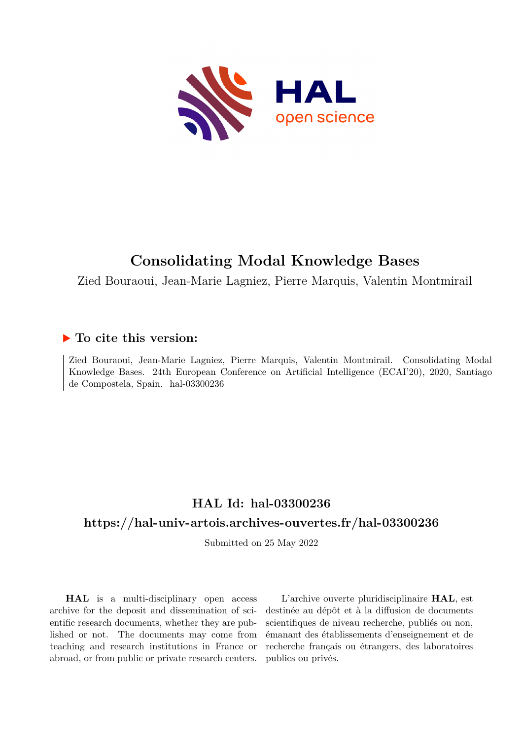

# **Consolidating Modal Knowledge Bases**

Zied Bouraoui, Jean-Marie Lagniez, Pierre Marquis, Valentin Montmirail

## **To cite this version:**

Zied Bouraoui, Jean-Marie Lagniez, Pierre Marquis, Valentin Montmirail. Consolidating Modal Knowledge Bases. 24th European Conference on Artificial Intelligence (ECAI'20), 2020, Santiago de Compostela, Spain. hal-03300236

## **HAL Id: hal-03300236**

### **<https://hal-univ-artois.archives-ouvertes.fr/hal-03300236>**

Submitted on 25 May 2022

**HAL** is a multi-disciplinary open access archive for the deposit and dissemination of scientific research documents, whether they are published or not. The documents may come from teaching and research institutions in France or abroad, or from public or private research centers.

L'archive ouverte pluridisciplinaire **HAL**, est destinée au dépôt et à la diffusion de documents scientifiques de niveau recherche, publiés ou non, émanant des établissements d'enseignement et de recherche français ou étrangers, des laboratoires publics ou privés.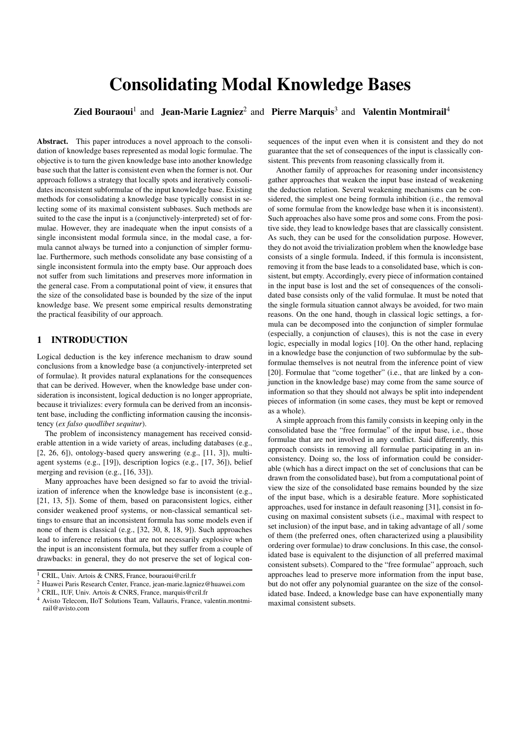# Consolidating Modal Knowledge Bases

**Zied Bouraoui**<sup>1</sup> and Jean-Marie Lagniez<sup>2</sup> and Pierre Marquis<sup>3</sup> and Valentin Montmirail<sup>4</sup>

Abstract. This paper introduces a novel approach to the consolidation of knowledge bases represented as modal logic formulae. The objective is to turn the given knowledge base into another knowledge base such that the latter is consistent even when the former is not. Our approach follows a strategy that locally spots and iteratively consolidates inconsistent subformulae of the input knowledge base. Existing methods for consolidating a knowledge base typically consist in selecting some of its maximal consistent subbases. Such methods are suited to the case the input is a (conjunctively-interpreted) set of formulae. However, they are inadequate when the input consists of a single inconsistent modal formula since, in the modal case, a formula cannot always be turned into a conjunction of simpler formulae. Furthermore, such methods consolidate any base consisting of a single inconsistent formula into the empty base. Our approach does not suffer from such limitations and preserves more information in the general case. From a computational point of view, it ensures that the size of the consolidated base is bounded by the size of the input knowledge base. We present some empirical results demonstrating the practical feasibility of our approach.

#### 1 INTRODUCTION

Logical deduction is the key inference mechanism to draw sound conclusions from a knowledge base (a conjunctively-interpreted set of formulae). It provides natural explanations for the consequences that can be derived. However, when the knowledge base under consideration is inconsistent, logical deduction is no longer appropriate, because it trivializes: every formula can be derived from an inconsistent base, including the conflicting information causing the inconsistency (*ex falso quodlibet sequitur*).

The problem of inconsistency management has received considerable attention in a wide variety of areas, including databases (e.g., [2, 26, 6]), ontology-based query answering (e.g., [11, 3]), multiagent systems (e.g., [19]), description logics (e.g., [17, 36]), belief merging and revision (e.g., [16, 33]).

Many approaches have been designed so far to avoid the trivialization of inference when the knowledge base is inconsistent (e.g., [21, 13, 5]). Some of them, based on paraconsistent logics, either consider weakened proof systems, or non-classical semantical settings to ensure that an inconsistent formula has some models even if none of them is classical (e.g., [32, 30, 8, 18, 9]). Such approaches lead to inference relations that are not necessarily explosive when the input is an inconsistent formula, but they suffer from a couple of drawbacks: in general, they do not preserve the set of logical con-

<sup>3</sup> CRIL, IUF, Univ. Artois & CNRS, France, marquis@cril.fr

sequences of the input even when it is consistent and they do not guarantee that the set of consequences of the input is classically consistent. This prevents from reasoning classically from it.

Another family of approaches for reasoning under inconsistency gather approaches that weaken the input base instead of weakening the deduction relation. Several weakening mechanisms can be considered, the simplest one being formula inhibition (i.e., the removal of some formulae from the knowledge base when it is inconsistent). Such approaches also have some pros and some cons. From the positive side, they lead to knowledge bases that are classically consistent. As such, they can be used for the consolidation purpose. However, they do not avoid the trivialization problem when the knowledge base consists of a single formula. Indeed, if this formula is inconsistent, removing it from the base leads to a consolidated base, which is consistent, but empty. Accordingly, every piece of information contained in the input base is lost and the set of consequences of the consolidated base consists only of the valid formulae. It must be noted that the single formula situation cannot always be avoided, for two main reasons. On the one hand, though in classical logic settings, a formula can be decomposed into the conjunction of simpler formulae (especially, a conjunction of clauses), this is not the case in every logic, especially in modal logics [10]. On the other hand, replacing in a knowledge base the conjunction of two subformulae by the subformulae themselves is not neutral from the inference point of view [20]. Formulae that "come together" (i.e., that are linked by a conjunction in the knowledge base) may come from the same source of information so that they should not always be split into independent pieces of information (in some cases, they must be kept or removed as a whole).

A simple approach from this family consists in keeping only in the consolidated base the "free formulae" of the input base, i.e., those formulae that are not involved in any conflict. Said differently, this approach consists in removing all formulae participating in an inconsistency. Doing so, the loss of information could be considerable (which has a direct impact on the set of conclusions that can be drawn from the consolidated base), but from a computational point of view the size of the consolidated base remains bounded by the size of the input base, which is a desirable feature. More sophisticated approaches, used for instance in default reasoning [31], consist in focusing on maximal consistent subsets (i.e., maximal with respect to set inclusion) of the input base, and in taking advantage of all / some of them (the preferred ones, often characterized using a plausibility ordering over formulae) to draw conclusions. In this case, the consolidated base is equivalent to the disjunction of all preferred maximal consistent subsets). Compared to the "free formulae" approach, such approaches lead to preserve more information from the input base, but do not offer any polynomial guarantee on the size of the consolidated base. Indeed, a knowledge base can have exponentially many maximal consistent subsets.

<sup>1</sup> CRIL, Univ. Artois & CNRS, France, bouraoui@cril.fr

<sup>2</sup> Huawei Paris Research Center, France, jean-marie.lagniez@huawei.com

<sup>4</sup> Avisto Telecom, IIoT Solutions Team, Vallauris, France, valentin.montmirail@avisto.com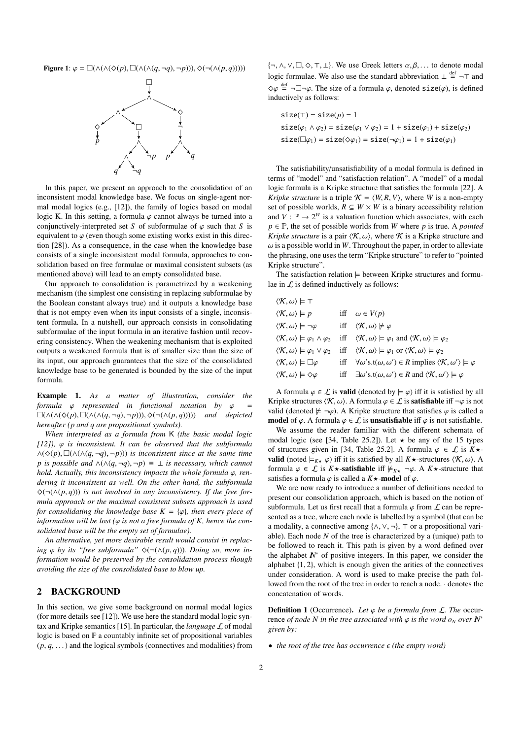Figure 1:  $\varphi = \Box(\land(\land(\Diamond(p), \Box(\land(\land(q, \neg q), \neg p))), \Diamond(\neg(\land(p, q))))))$ 



In this paper, we present an approach to the consolidation of an inconsistent modal knowledge base. We focus on single-agent normal modal logics (e.g., [12]), the family of logics based on modal logic K. In this setting, a formula  $\varphi$  cannot always be turned into a conjunctively-interpreted set *S* of subformulae of  $\varphi$  such that *S* is equivalent to  $\varphi$  (even though some existing works exist in this direction [28]). As a consequence, in the case when the knowledge base consists of a single inconsistent modal formula, approaches to consolidation based on free formulae or maximal consistent subsets (as mentioned above) will lead to an empty consolidated base.

Our approach to consolidation is parametrized by a weakening mechanism (the simplest one consisting in replacing subformulae by the Boolean constant always true) and it outputs a knowledge base that is not empty even when its input consists of a single, inconsistent formula. In a nutshell, our approach consists in consolidating subformulae of the input formula in an iterative fashion until recovering consistency. When the weakening mechanism that is exploited outputs a weakened formula that is of smaller size than the size of its input, our approach guarantees that the size of the consolidated knowledge base to be generated is bounded by the size of the input formula.

Example 1. *As a matter of illustration, consider the formula* ϕ *represented in functional notation by* ϕ <sup>=</sup>  $\square(\wedge(\wedge(\Diamond(p), \Box(\wedge(q, \neg q), \neg p)))$ ,  $\diamond(\neg(\wedge(p, q))))$  *and depicted hereafter (p and q are propositional symbols).*

*When interpreted as a formula from* K *(the basic modal logic*  $[12]$ ,  $\varphi$  *is inconsistent. It can be observed that the subformula* <sup>∧</sup>(^(*p*), (∧(∧(*q*, <sup>¬</sup>*q*), <sup>¬</sup>*p*))) *is inconsistent since at the same time p* is possible and  $\land$ ( $\land$ ( $q$ ,  $\neg q$ ),  $\neg p$ )  $\equiv \bot$  *is necessary, which cannot hold. Actually, this inconsistency impacts the whole formula*  $φ$ *, rendering it inconsistent as well. On the other hand, the subformula* ^(¬(∧(*p*, *<sup>q</sup>*))) *is not involved in any inconsistency. If the free formula approach or the maximal consistent subsets approach is used for consolidating the knowledge base*  $K = {\varphi}$ *, then every piece of information will be lost* ( $\varphi$  *is not a free formula of K, hence the consolidated base will be the empty set of formulae).*

*An alternative, yet more desirable result would consist in replacing*  $\varphi$  *by its "free subformula"*  $\Diamond(\neg(\land(p,q)))$ *. Doing so, more information would be preserved by the consolidation process though avoiding the size of the consolidated base to blow up.*

#### 2 BACKGROUND

In this section, we give some background on normal modal logics (for more details see [12]). We use here the standard modal logic syntax and Kripke semantics [15]. In particular, the *language*  $\mathcal L$  of modal logic is based on  $P$  a countably infinite set of propositional variables  $(p, q, \ldots)$  and the logical symbols (connectives and modalities) from  $\{\neg, \wedge, \vee, \Box, \Diamond, \top, \bot\}.$  We use Greek letters  $\alpha, \beta, \ldots$  to denote modal logic formulae. We also use the standard abbreviation  $\perp \stackrel{\text{def}}{=} \neg \top$  and  $\diamond \varphi \stackrel{\text{def}}{=} \neg \Box \neg \varphi$ . The size of a formula  $\varphi$ , denoted size( $\varphi$ ), is defined inductively as follows: inductively as follows:

$$
size(\tau) = size(\rho) = 1
$$
  
\n
$$
size(\varphi_1 \land \varphi_2) = size(\varphi_1 \lor \varphi_2) = 1 + size(\varphi_1) + size(\varphi_2)
$$
  
\n
$$
size(\Box \varphi_1) = size(\Diamond \varphi_1) = size(\neg \varphi_1) = 1 + size(\varphi_1)
$$

The satisfiability/unsatisfiability of a modal formula is defined in terms of "model" and "satisfaction relation". A "model" of a modal logic formula is a Kripke structure that satisfies the formula [22]. A *Kripke structure* is a triple  $K = \langle W, R, V \rangle$ , where *W* is a non-empty set of possible worlds,  $R \subseteq W \times W$  is a binary accessibility relation and  $V : \mathbb{P} \to 2^W$  is a valuation function which associates, with each  $p \in \mathbb{P}$ , the set of possible worlds from *W* where *p* is true. A *pointed Kripke structure* is a pair  $\langle K, \omega \rangle$ , where K is a Kripke structure and  $\omega$  is a possible world in *W*. Throughout the paper, in order to alleviate the phrasing, one uses the term "Kripke structure" to refer to "pointed Kripke structure".

The satisfaction relation  $\models$  between Kripke structures and formulae in  $\mathcal L$  is defined inductively as follows:

| $\langle \mathcal{K}, \omega \rangle \models \top$                       |                                                                                                                         |
|--------------------------------------------------------------------------|-------------------------------------------------------------------------------------------------------------------------|
| $\langle \mathcal{K}, \omega \rangle \models p$                          | iff $\omega \in V(p)$                                                                                                   |
| $\langle \mathcal{K}, \omega \rangle \models \neg \varphi$               | iff $\langle \mathcal{K}, \omega \rangle \not\models \varphi$                                                           |
| $\langle \mathcal{K}, \omega \rangle \models \varphi_1 \wedge \varphi_2$ | iff $\langle \mathcal{K}, \omega \rangle \models \varphi_1$ and $\langle \mathcal{K}, \omega \rangle \models \varphi_2$ |
| $\langle \mathcal{K}, \omega \rangle \models \varphi_1 \vee \varphi_2$   | iff $\langle \mathcal{K}, \omega \rangle \models \varphi_1$ or $\langle \mathcal{K}, \omega \rangle \models \varphi_2$  |
| $\langle \mathcal{K}, \omega \rangle \models \Box \varphi$               | iff $\forall \omega's.t(\omega, \omega') \in R \text{ implies } \langle K, \omega' \rangle \models \varphi$             |
| $\langle \mathcal{K}, \omega \rangle \models \Diamond \varphi$           | iff $\exists \omega'$ s.t $(\omega, \omega') \in R$ and $\langle K, \omega' \rangle \models \varphi$                    |
|                                                                          |                                                                                                                         |

A formula  $\varphi \in \mathcal{L}$  is **valid** (denoted by  $\models \varphi$ ) iff it is satisfied by all Kripke structures  $\langle \mathcal{K}, \omega \rangle$ . A formula  $\varphi \in \mathcal{L}$  is **satisfiable** iff  $\neg \varphi$  is not valid (denoted  $\not\models \neg \varphi$ ). A Kripke structure that satisfies  $\varphi$  is called a model of  $\varphi$ . A formula  $\varphi \in \mathcal{L}$  is **unsatisfiable** iff  $\varphi$  is not satisfiable.

We assume the reader familiar with the different schemata of modal logic (see [34, Table 25.2]). Let  $\star$  be any of the 15 types of structures given in [34, Table 25.2]. A formula  $\varphi \in \mathcal{L}$  is  $K \star$ **valid** (noted  $\models_{K\star}\varphi$ ) iff it is satisfied by all  $K\star$ -structures  $\langle\mathcal{K},\omega\rangle$ . A formula  $\varphi \in \mathcal{L}$  is  $K \star$ -satisfiable iff  $\nvdash_{K \star} \neg \varphi$ . A  $K \star$ -structure that satisfies a formula  $\varphi$  is called a  $K\star$ -model of  $\varphi$ .

We are now ready to introduce a number of definitions needed to present our consolidation approach, which is based on the notion of subformula. Let us first recall that a formula  $\varphi$  from  $\mathcal L$  can be represented as a tree, where each node is labelled by a symbol (that can be a modality, a connective among  $\{\wedge, \vee, \neg\}$ ,  $\top$  or a propositional variable). Each node *N* of the tree is characterized by a (unique) path to be followed to reach it. This path is given by a word defined over the alphabet *N*<sup>∗</sup> of positive integers. In this paper, we consider the alphabet {1, <sup>2</sup>}, which is enough given the arities of the connectives under consideration. A word is used to make precise the path followed from the root of the tree in order to reach a node. · denotes the concatenation of words.

**Definition 1** (Occurrence). Let  $\varphi$  be a formula from  $\mathcal{L}$ . The occurrence *of node N in the tree associated with*  $\varphi$  *is the word*  $o_N$  *over*  $N^*$ *given by:*

• *the root of the tree has occurrence*  $\epsilon$  (the empty word)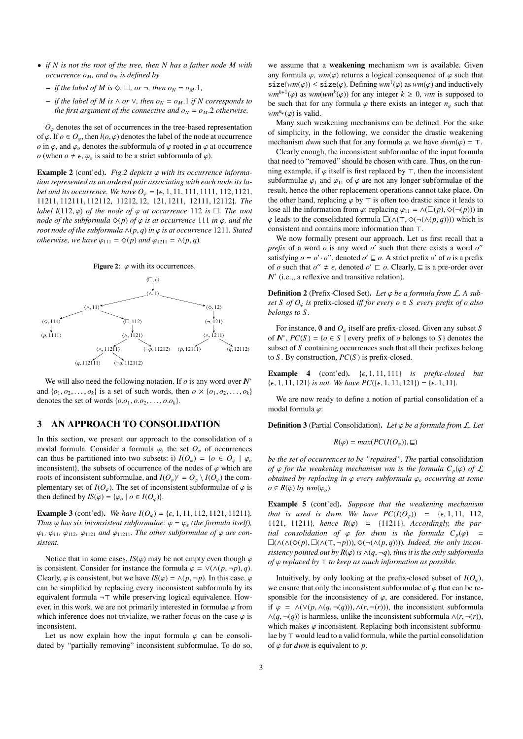- *if N is not the root of the tree, then N has a father node M with occurrence*  $o_M$ *, and*  $o_N$  *is defined by* 
	- $\rightarrow$  *if the label of M is*  $\diamondsuit$ ,  $\square$ *, or*  $\neg$ *, then o*<sup>N</sup> = o<sup>M</sup>.1*,*
	- *if the label of M is* <sup>∧</sup> *or* <sup>∨</sup>*, then o<sup>N</sup>* <sup>=</sup> *<sup>o</sup><sup>M</sup>*.<sup>1</sup> *if N corresponds to the first argument of the connective and*  $o_N = o_M$ *.2 otherwise.*

 $O_\omega$  denotes the set of occurrences in the tree-based representation of  $\varphi$ . If  $o \in O_{\varphi}$ , then  $l(o, \varphi)$  denotes the label of the node at occurrence *o* in  $\varphi$ , and  $\varphi$  denotes the subformula of  $\varphi$  rooted in  $\varphi$  at occurrence *o* (when  $o \neq \epsilon$ ,  $\varphi_o$  is said to be a strict subformula of  $\varphi$ ).

**Example 2** (cont'ed). *Fig.2 depicts*  $\varphi$  *with its occurrence information represented as an ordered pair associating with each node its label and its occurrence. We have*  $O_\varphi = {\epsilon, 1, 11, 111, 1111, 112, 1121, 1111, 1112, 1111, 1111, 1111, 1111, 1111, 1111, 1111, 1111, 1111, 1111, 1111, 1111, 1111, 1111, 1111, 1111, 1111, 1111, 1111, 1111, 1111, 1111, 1111$ <sup>11211</sup>, <sup>112111</sup>, <sup>112112</sup>, <sup>11212</sup>, <sup>12</sup>, <sup>121</sup>, <sup>1211</sup>, <sup>12111</sup>, <sup>12112</sup>}*. The label l*(112,  $\varphi$ ) *of the node of*  $\varphi$  *at occurrence* 112 *is*  $\Box$ *. The root node of the subformula*  $\Diamond(p)$  *of*  $\varphi$  *is at occurrence* 111 *in*  $\varphi$ *, and the root node of the subformula*  $\wedge$ ( $p$ , $q$ ) *in*  $\varphi$  *is at occurrence* 1211*. Stated otherwise, we have*  $\varphi_{111} = \varphi(p)$  *and*  $\varphi_{1211} = \varphi(p,q)$ *.* 





We will also need the following notation. If  $\rho$  is any word over  $N^*$ and  $\{o_1, o_2, \ldots, o_k\}$  is a set of such words, then  $o \times \{o_1, o_2, \ldots, o_k\}$ denotes the set of words  $\{o.o_1, o.o_2, \ldots, o.o_k\}.$ 

#### 3 AN APPROACH TO CONSOLIDATION

In this section, we present our approach to the consolidation of a modal formula. Consider a formula  $\varphi$ , the set  $O_{\varphi}$  of occurrences can thus be partitioned into two subsets: i)  $I(O_\varphi) = \{o \in O_\varphi \mid \varphi_o\}$ inconsistent), the subsets of occurrence of the nodes of  $\varphi$  which are roots of inconsistent subformulae, and  $I(O_{\varphi})^c = O_{\varphi} \setminus I(O_{\varphi})$  the complementary set of *I*( $O_{\varphi}$ ). The set of inconsistent subformulae of  $\varphi$  is then defined by  $IS(\varphi) = {\varphi_o | o \in I(O_{\varphi})}.$ 

**Example 3** (cont'ed). *We have*  $I(O_\varphi) = {\epsilon, 1, 11, 112, 1121, 11211}$ *. Thus*  $\varphi$  *has six inconsistent subformulae:*  $\varphi = \varphi_\epsilon$  *(the formula itself),*  $\varphi_1$ ,  $\varphi_{11}$ ,  $\varphi_{112}$ ,  $\varphi_{1121}$  *and*  $\varphi_{11211}$ *. The other subformulae of*  $\varphi$  *are consistent.*

Notice that in some cases,  $IS(\varphi)$  may be not empty even though  $\varphi$ is consistent. Consider for instance the formula  $\varphi = \vee (\wedge (p, \neg p), q)$ . Clearly,  $\varphi$  is consistent, but we have  $IS(\varphi) = \wedge (p, \neg p)$ . In this case,  $\varphi$ can be simplified by replacing every inconsistent subformula by its equivalent formula  $\neg \top$  while preserving logical equivalence. However, in this work, we are not primarily interested in formulae  $\varphi$  from which inference does not trivialize, we rather focus on the case  $\varphi$  is inconsistent.

Let us now explain how the input formula  $\varphi$  can be consolidated by "partially removing" inconsistent subformulae. To do so,

we assume that a weakening mechanism *wm* is available. Given any formula  $\varphi$ , *wm*( $\varphi$ ) returns a logical consequence of  $\varphi$  such that  $size(wm(\varphi)) \leq size(\varphi)$ . Defining  $wm^1(\varphi)$  as  $wm(\varphi)$  and inductively  $w^{k+1}(\varphi)$  as  $w^{m(wm^{k}(\varphi))}$  for any integer  $k > 0$ , wm is supposed to  $wm^{k+1}(\varphi)$  as  $wm(wm^k(\varphi))$  for any integer  $k \ge 0$ , *wm* is supposed to be such that for any formula  $\varphi$  there exists an integer *n*, such that be such that for any formula  $\varphi$  there exists an integer  $n_{\varphi}$  such that *wm<sup>n<sub>ϕ</sub>*</sup>( $\varphi$ ) is valid.<br>Many such w

Many such weakening mechanisms can be defined. For the sake of simplicity, in the following, we consider the drastic weakening mechanism *dwm* such that for any formula  $\varphi$ , we have  $dwm(\varphi) = \top$ .

Clearly enough, the inconsistent subformulae of the input formula that need to "removed" should be chosen with care. Thus, on the running example, if  $\varphi$  itself is first replaced by  $\tau$ , then the inconsistent subformulae  $\varphi_1$  and  $\varphi_{11}$  of  $\varphi$  are not any longer subformulae of the result, hence the other replacement operations cannot take place. On the other hand, replacing  $\varphi$  by  $\top$  is often too drastic since it leads to lose all the information from  $\varphi$ : replacing  $\varphi_{11} = \wedge (\Box(p), \Diamond(\neg(p)))$  in  $\varphi$  leads to the consolidated formula  $\square(∧(¬, ∅(¬(∧(p, q))))$  which is consistent and contains more information than  $\top$ .

We now formally present our approach. Let us first recall that a *prefix* of a word  $o$  is any word  $o'$  such that there exists a word  $o''$ satisfying  $o = o' \cdot o''$ , denoted  $o' \sqsubseteq o$ . A strict prefix *o'* of *o* is a prefix of *o* such that  $o'' \neq \epsilon$ , denoted  $o' \sqsubset o$ . Clearly,  $\sqsubseteq$  is a pre-order over  $\mathbb{N}^*$  (i.e., a reflexive and transitive relation) *<i>N* (i.e.,, a reflexive and transitive relation).

**Definition 2** (Prefix-Closed Set). Let  $\varphi$  be a formula from  $\mathcal{L}$ . A sub*set S of*  $O_\varphi$  *is prefix-closed <i>iff for every o*  $\in$  *S every prefix of o also belongs to S .*

For instance, <sup>∅</sup> and *<sup>O</sup>*ϕ itself are prefix-closed. Given any subset *<sup>S</sup>* of  $N^*$ ,  $PC(S) = \{o \in S \mid \text{every prefix of } o \text{ belongs to } S\}$  denotes the subset of *S* containing occurrences such that all their prefixes belong to *S* . By construction, *PC*(*S* ) is prefix-closed.

Example 4 (cont'ed).  $\{\epsilon, 1, 11, 111\}$  *is prefix-closed but*  $\{\epsilon, 1, 11, 121\}$  *is not. We have PC*({ $\epsilon$ , 1, 11, 121}) = { $\epsilon$ , 1, 11}*.* 

We are now ready to define a notion of partial consolidation of a modal formula ϕ:

Definition 3 (Partial Consolidation). *Let* ϕ *be a formula from* <sup>L</sup>*. Let*

$$
R(\varphi) = max(PC(I(O_{\varphi})), \sqsubseteq)
$$

*be the set of occurrences to be "repaired". The* partial consolidation *of*  $\varphi$  *for the weakening mechanism wm is the formula*  $C_p(\varphi)$  *of*  $\mathcal L$ *obtained by replacing in* <sup>ϕ</sup> *every subformula* <sup>ϕ</sup>*<sup>o</sup> occurring at some*  $o \in R(\varphi)$  *by wm*( $\varphi_o$ ).

Example 5 (cont'ed). *Suppose that the weakening mechanism that is used is dwm. We have*  $PC(I(O_{\varphi})) = {\epsilon, 1, 11, 112}$ *,* 1121, 11211}*, hence*  $R(\varphi) = \{11211\}$ *. Accordingly, the partial consolidation of*  $\varphi$  *for dwm is the formula C<sub>p</sub>*( $\varphi$ ) = (∧(∧(^(*p*), (∧(>, <sup>¬</sup>*p*))), ^(¬(∧(*p*, *<sup>q</sup>*))))*. Indeed, the only inconsistency pointed out by R*( $\varphi$ ) *is*  $\wedge$ ( $q$ ,  $\neg q$ )*, thus it is the only subformula of*  $\varphi$  *replaced by*  $\top$  *to keep as much information as possible.* 

Intuitively, by only looking at the prefix-closed subset of  $I(O_\varphi)$ , we ensure that only the inconsistent subformulae of  $\varphi$  that can be responsible for the inconsistency of  $\varphi$ , are considered. For instance, if ϕ <sup>=</sup> <sup>∧</sup>(∨(*p*, <sup>∧</sup>(*q*, <sup>¬</sup>(*q*))), <sup>∧</sup>(*r*, <sup>¬</sup>(*r*))), the inconsistent subformula  $\land$ (*q*, ¬(*q*)) is harmless, unlike the inconsistent subformula  $\land$ (*r*, ¬(*r*)), which makes  $\varphi$  inconsistent. Replacing both inconsistent subformulae by  $\top$  would lead to a valid formula, while the partial consolidation of  $\varphi$  for *dwm* is equivalent to *p*.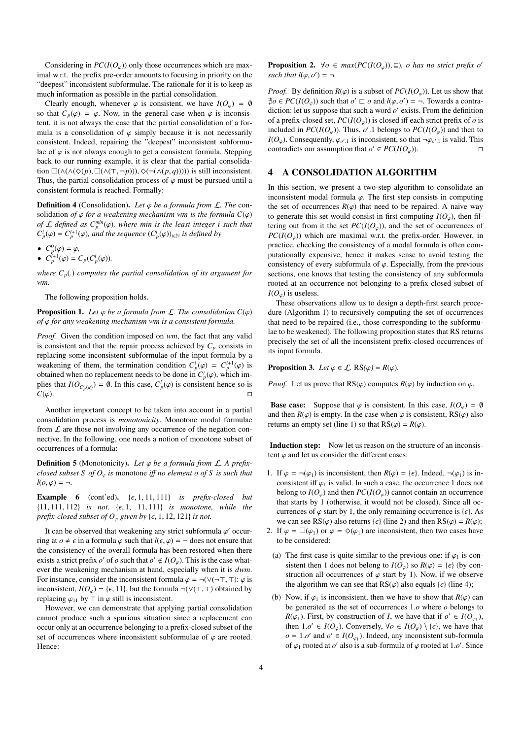Considering in  $PC(I(O_\omega))$  only those occurrences which are maximal w.r.t. the prefix pre-order amounts to focusing in priority on the "deepest" inconsistent subformulae. The rationale for it is to keep as much information as possible in the partial consolidation.

Clearly enough, whenever  $\varphi$  is consistent, we have  $I(O_{\varphi}) = \emptyset$ so that  $C_p(\varphi) = \varphi$ . Now, in the general case when  $\varphi$  is inconsistent, it is not always the case that the partial consolidation of a formula is a consolidation of  $\varphi$  simply because it is not necessarily consistent. Indeed, repairing the "deepest" inconsistent subformulae of  $\varphi$  is not always enough to get a consistent formula. Stepping back to our running example, it is clear that the partial consolidation  $\square(∧(∧(♦(p), \square(∧(⊤, ¬p))), ◊(¬(∧(p, q))))$ ) is still inconsistent. Thus, the partial consolidation process of  $\varphi$  must be pursued until a consistent formula is reached. Formally:

**Definition 4** (Consolidation). Let  $\varphi$  be a formula from  $\mathcal{L}$ . The consolidation *of*  $\varphi$  *for a weakening mechanism wm is the formula*  $C(\varphi)$ *of*  $\mathcal{L}$  *defined as*  $C_p^{\min}(\varphi)$ , where min is the least integer i such that<br> $C^i(\varphi) - C^{i+1}(\varphi)$  and the sequence  $(C^i(\varphi))$ , y is defined by  $C_p^i(\varphi) = C_p^{i+1}(\varphi)$ *, and the sequence*  $(C_p^i(\varphi))_{i \in \mathbb{N}}$  *is defined by* 

• 
$$
C_p^0(\varphi) = \varphi
$$
,

•  $C_p^0(\varphi) = \varphi,$ <br>
•  $C_p^{i+1}(\varphi) = C_p(C_p^i(\varphi)).$ 

*where Cp*(.) *computes the partial consolidation of its argument for wm.*

The following proposition holds.

**Proposition 1.** Let  $\varphi$  be a formula from  $\mathcal{L}$ . The consolidation  $C(\varphi)$ *of* ϕ *for any weakening mechanism wm is a consistent formula.*

*Proof.* Given the condition imposed on *wm*, the fact that any valid is consistent and that the repair process achieved by  $C_p$  consists in replacing some inconsistent subformulae of the input formula by a weakening of them, the termination condition  $C_p^i(\varphi) = C_p^{i+1}(\varphi)$  is<br>obtained when no replacement needs to be done in  $C_p^i(\varphi)$  which imobtained when no replacement needs to be done in  $C_p^i(\varphi)$ , which im-<br>plies that  $I(Q_{\perp}) = \emptyset$ . In this case,  $C_p^i(\varphi)$  is consistent hence so is plies that  $I(O_{C_p^i(\varphi)}) = \emptyset$ . In this case,  $C_p^i(\varphi)$  is consistent hence so is  $\overline{C}(\varphi)$ .

Another important concept to be taken into account in a partial consolidation process is *monotonicity*. Monotone modal formulae from  $\mathcal L$  are those not involving any occurrence of the negation connective. In the following, one needs a notion of monotone subset of occurrences of a formula:

Definition 5 (Monotonicity). Let *φ* be a formula from *L*. A prefix*closed subset S of O*ϕ *is* monotone *<sup>i</sup>*ff *no element o of S is such that*  $l(o, \varphi) = \neg$ .

Example 6 (cont'ed).  $\{\epsilon, 1, 11, 111\}$  *is prefix-closed but*  $\{11, 111, 112\}$  *is not.*  $\{\epsilon, 1, 11, 111\}$  *is monotone, while the prefix-closed subset of*  $O_{\varphi}$  *given by* { $\epsilon$ , 1, 12, 121} *is not.* 

It can be observed that weakening any strict subformula  $\varphi'$  occur-<br>0 at  $\alpha \neq \epsilon$  in a formula  $\varphi$  such that  $I(\epsilon, \varphi) = \pi$  does not ensure that ring at  $o \neq \epsilon$  in a formula  $\varphi$  such that  $l(\epsilon, \varphi) = \neg$  does not ensure that the consistency of the overall formula has been restored when there exists a strict prefix *o'* of *o* such that  $o' \notin I(O_{\varphi})$ . This is the case whatever the weakening mechanism at hand, especially when it is *dwm*. For instance, consider the inconsistent formula  $\varphi = \neg(\vee(\neg \top, \top); \varphi$  is inconsistent,  $I(O_{\varphi}) = {\epsilon, 11}$ , but the formula ¬(∨(⊤, ⊤) obtained by replacing  $\varphi_{11}$  by  $\top$  in  $\varphi$  still is inconsistent.

However, we can demonstrate that applying partial consolidation cannot produce such a spurious situation since a replacement can occur only at an occurrence belonging to a prefix-closed subset of the set of occurrences where inconsistent subformulae of  $\varphi$  are rooted. Hence:

**Proposition 2.**  $\forall o \in max(PC(I(O_{\varphi})), \sqsubseteq)$ *, o has no strict prefix o' such that*  $l(\varphi, o') = \neg$ .

*Proof.* By definition  $R(\varphi)$  is a subset of  $PC(I(O_\varphi))$ . Let us show that  $\overline{\phi}$   $\phi \in PC(I(O_{\varphi}))$  such that  $o' \sqsubset o$  and  $l(\varphi, o') = \neg$ . Towards a contra-<br>diction: let us suppose that such a word  $o'$  exists. From the definition diction: let us suppose that such a word  $o'$  exists. From the definition of a prefix-closed set,  $PC(I(O_\varphi))$  is closed iff each strict prefix of  $\varphi$  is included in  $PC(I(O_\varphi))$ . Thus,  $o'.1$  belongs to  $PC(I(O_\varphi))$  and then to  $I(O_\alpha)$ . Consequently  $\varphi$  is inconsistent so that  $\neg \varphi$  is valid. This *I*( $O_\varphi$ ). Consequently,  $\varphi_{o',1}$  is inconsistent, so that  $\neg \varphi_{o',1}$  is valid. This contradicts our assumption that  $o' \in PC(IO, \mathcal{C})$ contradicts our assumption that  $o' \in PC(I(O_{\varphi}))$ .

#### 4 A CONSOLIDATION ALGORITHM

In this section, we present a two-step algorithm to consolidate an inconsistent modal formula  $\varphi$ . The first step consists in computing the set of occurrences  $R(\varphi)$  that need to be repaired. A naive way to generate this set would consist in first computing  $I(O_\varphi)$ , then filtering out from it the set  $PC(I(O_\varphi))$ , and the set of occurrences of  $PC(I(O_{\omega}))$  which are maximal w.r.t. the prefix-order. However, in practice, checking the consistency of a modal formula is often computationally expensive, hence it makes sense to avoid testing the consistency of every subformula of  $\varphi$ . Especially, from the previous sections, one knows that testing the consistency of any subformula rooted at an occurrence not belonging to a prefix-closed subset of  $I(O_0)$  is useless.

These observations allow us to design a depth-first search procedure (Algorithm 1) to recursively computing the set of occurrences that need to be repaired (i.e., those corresponding to the subformulae to be weakened). The following proposition states that RS returns precisely the set of all the inconsistent prefix-closed occurrences of its input formula.

**Proposition 3.** *Let*  $\varphi \in \mathcal{L}$ *.* RS $(\varphi) = R(\varphi)$ *.* 

*Proof.* Let us prove that RS( $\varphi$ ) computes  $R(\varphi)$  by induction on  $\varphi$ .

**Base case:** Suppose that  $\varphi$  is consistent. In this case,  $I(O_{\varphi}) = \emptyset$ and then  $R(\varphi)$  is empty. In the case when  $\varphi$  is consistent, RS( $\varphi$ ) also returns an empty set (line 1) so that  $RS(\varphi) = R(\varphi)$ .

Induction step: Now let us reason on the structure of an inconsistent  $\varphi$  and let us consider the different cases:

- 1. If  $\varphi = \neg(\varphi_1)$  is inconsistent, then  $R(\varphi) = {\epsilon}$ . Indeed,  $\neg(\varphi_1)$  is inconsistent iff  $\varphi_1$  is valid. In such a case, the occurrence 1 does not belong to  $I(O_\varphi)$  and then  $PC(I(O_\varphi))$  cannot contain an occurrence that starts by 1 (otherwise, it would not be closed). Since all occurrences of  $\varphi$  start by 1, the only remaining occurrence is { $\epsilon$ }. As we can see RS( $\varphi$ ) also returns { $\epsilon$ } (line 2) and then RS( $\varphi$ ) =  $R(\varphi)$ ;
- 2. If  $\varphi = \Box(\varphi_1)$  or  $\varphi = \Diamond(\varphi_1)$  are inconsistent, then two cases have to be considered:
	- (a) The first case is quite similar to the previous one: if  $\varphi_1$  is consistent then 1 does not belong to  $I(O_\varphi)$  so  $R(\varphi) = {\epsilon}$  (by construction all occurrences of  $\varphi$  start by 1). Now, if we observe the algorithm we can see that  $RS(\varphi)$  also equals { $\epsilon$ } (line 4);
	- (b) Now, if  $\varphi_1$  is inconsistent, then we have to show that  $R(\varphi)$  can be generated as the set of occurrences 1.*<sup>o</sup>* where *<sup>o</sup>* belongs to *R*( $\varphi_1$ ). First, by construction of *I*, we have that if  $o' \in I(O_{\varphi_1})$ , then  $1 o' \in I(O_{\alpha})$  Conversely  $\forall o \in I(O_{\alpha}) \setminus I_{\alpha}$ , we have that then  $1.o' \in I(O_{\varphi})$ . Conversely,  $\forall o \in I(O_{\varphi}) \setminus \{\epsilon\}$ , we have that  $o = 1.o'$  and  $o' \in I(O_{\varphi})$ . Indeed, any inconsistent sub-formula  $o = 1$ .*o*' and  $o' \in I(O_{\varphi_1})$ . Indeed, any inconsistent sub-formula<br>of  $\varphi$  rooted at  $o'$  also is a sub-formula of  $\varphi$  rooted at  $1$   $o'$ . Since of  $\varphi_1$  rooted at *o'* also is a sub-formula of  $\varphi$  rooted at 1.*o'*. Since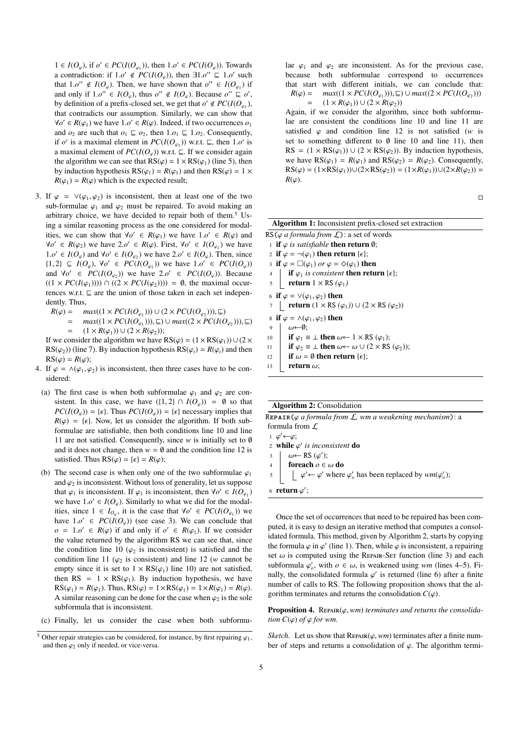1 ∈ *I*( $O_{\varphi}$ ), if  $o' \in PC(I(O_{\varphi_1}))$ , then 1.*o'* ∈ *PC*(*I*( $O_{\varphi}$ )). Towards a contradiction: if  $1.o' \notin PC(I(O_{\varphi}))$ , then  $\exists 1.o'' \sqsubseteq 1.o'$  such that  $1.o'' \notin I(O_{\varphi})$ . Then we have shown that  $o'' \in I(O_{\varphi})$  if that  $1.0'' \notin I(O_{\varphi})$ . Then, we have shown that  $o'' \in I(O_{\varphi})$  if and only if  $1 o'' \in I(O)$ , thus  $o'' \notin I(O)$ . Because  $o'' \sqsubset o'$ and only if  $1.o'' \in I(O_{\varphi})$ , thus  $o'' \notin I(O_{\varphi})$ . Because  $o'' \sqsubseteq o'$ ,<br>by definition of a prefix-closed set, we get that  $o' \notin PCl(O_{\varphi})$ by definition of a prefix-closed set, we get that  $o' \notin PC(I(O_{\varphi_1}),$ that contradicts our assumption. Similarly, we can show that  $\forall o' \in R(\varphi_1)$  we have  $1.o' \in R(\varphi)$ . Indeed, if two occurrences  $o_1$ <br>and  $o_2$  are such that  $o_1 \sqsubset o_2$  then  $1.o_2 \sqsubset 1.o_2$ . Consequently and  $o_2$  are such that  $o_1 \sqsubseteq o_2$ , then  $1.o_1 \sqsubseteq 1.o_2$ . Consequently, if *o'* is a maximal element in  $PC(I(O_{\varphi_1}))$  w.r.t.  $\sqsubseteq$ , then 1.*o'* is<br>a maximal element of  $PC(I(O_{\varphi_1}))$  w.r.t.  $\sqsubset$  If we consider again a maximal element of  $PC(I(O_\omega))$  w.r.t.  $\sqsubseteq$ . If we consider again the algorithm we can see that  $RS(\varphi) = 1 \times RS(\varphi_1)$  (line 5), then by induction hypothesis  $RS(\varphi_1) = R(\varphi_1)$  and then  $RS(\varphi) = 1 \times$  $R(\varphi_1) = R(\varphi)$  which is the expected result;

- 3. If  $\varphi = \vee(\varphi_1, \varphi_2)$  is inconsistent, then at least one of the two sub-formulae  $\varphi_1$  and  $\varphi_2$  must be repaired. To avoid making an arbitrary choice, we have decided to repair both of them.<sup>5</sup> Using a similar reasoning process as the one considered for modalities, we can show that  $\forall o' \in R(\varphi_1)$  we have  $1.o' \in R(\varphi)$  and  $\forall o' \in R(o)$  we have  $2.o' \in R(o)$ . First  $\forall o' \in I(O)$  we have  $\forall o' \in R(\varphi_2)$  we have  $2.o' \in R(\varphi)$ . First,  $\forall o' \in I(O_{\varphi_1})$  we have  $\exists o' \in I(O)$  and  $\forall o' \in I(O)$  we have  $2.o' \in I(O)$ . Then since 1.*o*' ∈ *I*(*O<sub>* $\varphi$ *</sub>*) and ∀*o'* ∈ *I*(*O<sub>* $\varphi$ *</sub>*<sub>2</sub>). We have  $2.\varphi' \in I(O_{\varphi})$ . Then, since  $\varphi$  *I*(*O* + *O*)  $\varphi'$  ∈ *PC(I(O* + *O*) we have  $1 \varphi'$  ∈ *PC(I(O* + *O*) {1, 2} ⊆ *I*(*O*<sub>↓</sub>), ∀*o*' ∈ *PC*(*I*(*O*<sub>↓</sub>)) we have  $1.o'$  ∈ *PC*(*I*(*O*<sub>↓</sub>)) and Yo' ∈ *PC*(*I*(*O*)) we have  $2.o'$  ∈ *PC*(*I*(*O*)) Recause and  $\forall o' \in PC(I(O_{\varphi_2}))$  we have  $2.o' \in PC(I(O_{\varphi}))$ . Because  $(1 \times PC(I(\varphi_2))) \cap (O \times PC(I(\varphi_2))) = \emptyset$  the maximal occur- $((1 \times PC(I(\varphi_1)))) \cap ((2 \times PC(I(\varphi_2)))) = \emptyset$ , the maximal occurrences w.r.t.  $\sqsubseteq$  are the union of those taken in each set independently. Thus,
	- *R*( $\varphi$ ) = *max*((1 × *PC*(*I*( $O_{\varphi_1}$ ))) ∪ (2 × *PC*(*I*( $O_{\varphi_2}$ ))), ⊆)<br>- *max*((1 × *PC*(*I*( $O$ ))) □  $\Box$  + max((2 × *PC*)(*I*( $O$  $=$  *max*((1 × *PC*(*I*(*O*<sub> $\varphi_1$ </sub>))), ⊆) ∪ *max*((2 × *PC*(*I*(*O*<sub> $\varphi_2$ ))), ⊆)<br>  $=$  (1 × *B*( $\varphi_3$ )) + (2 × *B*( $\varphi_5$ ));</sub>  $= (1 \times R(\varphi_1)) \cup (2 \times R(\varphi_2));$

If we consider the algorithm we have  $RS(\varphi) = (1 \times RS(\varphi_1)) \cup (2 \times$  $RS(\varphi_2)$ ) (line 7). By induction hypothesis  $RS(\varphi_i) = R(\varphi_i)$  and then  $RS(\varphi) = R(\varphi);$ 

- 4. If  $\varphi = \wedge(\varphi_1, \varphi_2)$  is inconsistent, then three cases have to be considered:
- (a) The first case is when both subformulae  $\varphi_1$  and  $\varphi_2$  are consistent. In this case, we have  $({1, 2} \cap I(O_{\varphi})) = \emptyset$  so that  $PC(I(O_\omega)) = {\epsilon}.$  Thus  $PC(I(O_\omega)) = {\epsilon}$  necessary implies that  $R(\varphi) = \{\epsilon\}$ . Now, let us consider the algorithm. If both subformulae are satisfiable, then both conditions line 10 and line 11 are not satisfied. Consequently, since *w* is initially set to ∅ and it does not change, then  $w = \emptyset$  and the condition line 12 is satisfied. Thus  $RS(\varphi) = {\epsilon} = R(\varphi);$
- (b) The second case is when only one of the two subformulae  $\varphi_1$ and  $\varphi_2$  is inconsistent. Without loss of generality, let us suppose that  $\varphi_1$  is inconsistent. If  $\varphi_1$  is inconsistent, then  $\forall o' \in I(O_{\varphi_1})$ <br>we have  $1 \circ \varphi' \in I(O_{\varphi_1})$ . Similarly to what we did for the modalwe have  $1.o' \in I(O_{\varphi})$ . Similarly to what we did for the modal-<br>ities since  $1 \in I_{\alpha}$  it is the case that  $\forall o' \in PC(IO_{\alpha})$  we ities, since  $1 \in I_{Q_\varphi}$ , it is the case that  $\forall o' \in PC(I(Q_\varphi))$  we have  $1.o' \in PC(I(O_{\varphi}))$  (see case 3). We can conclude that  $o_0 = 1.o' \in P(o)$  if and only if  $o' \in P(o)$ . If we consider  $o = 1.o' \in R(\varphi)$  if and only if  $o' \in R(\varphi_1)$ . If we consider the value returned by the algorithm **PS** we can see that since the value returned by the algorithm RS we can see that, since the condition line 10 ( $\varphi_2$  is inconsistent) is satisfied and the condition line 11 ( $\varphi_2$  is consistent) and line 12 (*w* cannot be empty since it is set to  $1 \times \text{RS}(\varphi_1)$  line 10) are not satisfied, then RS =  $1 \times \text{RS}(\varphi_1)$ . By induction hypothesis, we have  $RS(\varphi_1) = R(\varphi_1)$ . Thus,  $RS(\varphi) = 1 \times RS(\varphi_1) = 1 \times R(\varphi_1) = R(\varphi)$ . A similar reasoning can be done for the case when  $\varphi_2$  is the sole subformula that is inconsistent.
- (c) Finally, let us consider the case when both subformu-

lae  $\varphi_1$  and  $\varphi_2$  are inconsistent. As for the previous case, because both subformulae correspond to occurrences that start with different initials, we can conclude that:  $R(\varphi) = \max((1 \times PC(I(O_{\varphi_1}))) , \sqsubseteq) \cup \max((2 \times PC(I(O_{\varphi_2})))$ <br>  $= (1 \times R(\varphi_1)) + (2 \times R(\varphi_2))$  $(1 \times R(\varphi_1)) \cup (2 \times R(\varphi_2))$ 

Again, if we consider the algorithm, since both subformulae are consistent the conditions line 10 and line 11 are satisfied  $\varphi$  and condition line 12 is not satisfied (*w* is set to something different to  $\emptyset$  line 10 and line 11), then  $RS = (1 \times RS(\varphi_1)) \cup (2 \times RS(\varphi_2))$ . By induction hypothesis, we have  $RS(\varphi_1) = R(\varphi_1)$  and  $RS(\varphi_2) = R(\varphi_2)$ . Consequently,  $RS(\varphi) = (1 \times RS(\varphi_1)) \cup (2 \times RS(\varphi_2)) = (1 \times R(\varphi_1)) \cup (2 \times R(\varphi_2)) =$  $R(\varphi)$ .

 $\overline{\phantom{a}}$ 

| Algorithm 1: Inconsistent prefix-closed set extraction<br>RS ( $\varphi$ a formula from $\mathcal{L}$ ): a set of words<br>1 if $\varphi$ is satisfiable then return $\emptyset$ ;<br>2 if $\varphi = \neg(\varphi_1)$ then return { $\epsilon$ }; |
|----------------------------------------------------------------------------------------------------------------------------------------------------------------------------------------------------------------------------------------------------|
|                                                                                                                                                                                                                                                    |
|                                                                                                                                                                                                                                                    |
|                                                                                                                                                                                                                                                    |
|                                                                                                                                                                                                                                                    |
| 3 if $\varphi = \Box(\varphi_1)$ or $\varphi = \Diamond(\varphi_1)$ then                                                                                                                                                                           |
| if $\varphi_1$ is consistent then return { $\epsilon$ };                                                                                                                                                                                           |
| 4 <b>if</b> $\varphi_1$ <i>is consistent</i> <b>t</b><br>5 <b>return</b> $1 \times RS(\varphi_1)$                                                                                                                                                  |
| 6 if $\varphi = \vee(\varphi_1, \varphi_2)$ then                                                                                                                                                                                                   |
| <b>return</b> $(1 \times RS(\varphi_1)) \cup (2 \times RS(\varphi_2))$                                                                                                                                                                             |
| 8 if $\varphi = \wedge(\varphi_1, \varphi_2)$ then                                                                                                                                                                                                 |
| $\omega \leftarrow 0$ :<br>9                                                                                                                                                                                                                       |
| <b>if</b> $\varphi_1 \equiv \bot$ then $\omega \leftarrow 1 \times RS(\varphi_1)$ ;<br>10                                                                                                                                                          |
| if $\varphi_2 \equiv \bot$ then $\omega \leftarrow \omega \cup (2 \times \text{RS}(\varphi_2));$<br>11                                                                                                                                             |
| if $\omega = \emptyset$ then return $\{\epsilon\}$ ;<br>12                                                                                                                                                                                         |
| return $\omega$ ;<br>13                                                                                                                                                                                                                            |
|                                                                                                                                                                                                                                                    |

#### Algorithm 2: Consolidation

Repair(ϕ *a formula from* <sup>L</sup>*, wm a weakening mechanism*): a formula from L  $1 \varphi' \leftarrow \varphi;$ 

 $\frac{1}{2}$   $\frac{\varphi}{\mathbf{u}}$ 

2 **while**  $\varphi'$  *is inconsistent* **do**<br>2 *i (* $\omega = \text{PS}(\varphi')$ 

3  $\omega \leftarrow \text{RS}(\varphi');$ <br>4 foreach  $\alpha \in$ 

4 **foreach**  $o \in \omega$  **do**<br>5  $\downarrow \varphi' \leftarrow \varphi'$  where  $\frac{5}{2}$   $\left\lfloor \frac{6}{2} \right\rfloor$  $\psi'$  ←  $\varphi'$  where  $\varphi'_{o}$  has been replaced by  $wm(\varphi'_{o})$ ;

6 return  $\varphi'$ ;

Once the set of occurrences that need to be repaired has been computed, it is easy to design an iterative method that computes a consolidated formula. This method, given by Algorithm 2, starts by copying the formula  $\varphi$  in  $\varphi'$  (line 1). Then, while  $\varphi$  is inconsistent, a repairing set  $\omega$  is computed using the REPAIR. SET function (line 3) and each set  $\omega$  is computed using the REPAIR-SET function (line 3) and each subformula  $\varphi'_o$ , with  $o \in \omega$ , is weakened using *wm* (lines 4–5). Fi-<br>nally the consolidated formula  $\varphi'$  is returned (line 6) after a finite nally, the consolidated formula  $\varphi'$  is returned (line 6) after a finite<br>number of calls to PS. The following proposition shows that the alnumber of calls to RS. The following proposition shows that the algorithm terminates and returns the consolidation  $C(\varphi)$ .

**Proposition 4.** REPAIR( $\varphi$ , wm) *terminates and returns the consolidation*  $C(\varphi)$  *of*  $\varphi$  *for wm.* 

*Sketch.* Let us show that  $\text{REPAR}(\varphi, \text{wm})$  terminates after a finite number of steps and returns a consolidation of  $\varphi$ . The algorithm termi-

<sup>&</sup>lt;sup>5</sup> Other repair strategies can be considered, for instance, by first repairing  $\varphi_1$ , and then  $\varphi_2$  only if needed, or vice-versa.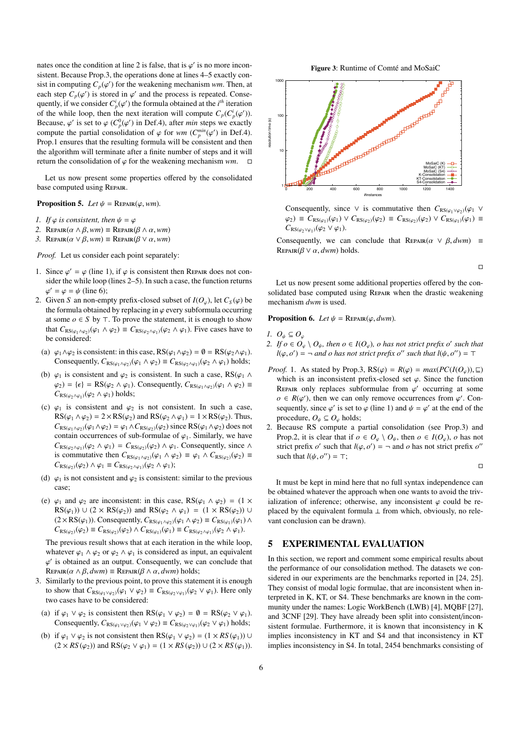nates once the condition at line 2 is false, that is  $\varphi'$  is no more incon-<br>sistent. Because Prop 3, the operations done at lines 4–5 exactly consistent. Because Prop.3, the operations done at lines 4–5 exactly consist in computing  $C_p(\varphi')$  for the weakening mechanism *wm*. Then, at each step  $C_p(\varphi')$  is stored in  $\varphi'$  and the process is repeated. Consequently each step  $C_p(\varphi')$  is stored in  $\varphi'$  and the process is repeated. Conse-<br>quently if we consider  $C^i(\varphi')$  the formula obtained at the *i*<sup>th</sup> iteration quently, if we consider  $C_p^i(\varphi')$  the formula obtained at the *i*<sup>th</sup> iteration<br>of the while loop, then the next iteration will compute  $C_p(G^i(\varphi'))$ of the while loop, then the next iteration will compute  $C_p(C_p^i(\varphi'))$ .<br>Because  $\varphi'$  is set to  $\varphi(C_p^0(\varphi'))$  in Def 4), after min steps we exactly Because,  $\varphi'$  is set to  $\varphi$  ( $C_p^0(\varphi')$  in Def.4), after *min* steps we exactly compute the partial consolidation of  $\varphi$  for  $y_m$  ( $C^{min}(\varphi')$  in Def.4) compute the partial consolidation of  $\varphi$  for *wm* ( $C_p^{min}(\varphi')$  in Def.4). Prop.1 ensures that the resulting formula will be consistent and then the algorithm will terminate after a finite number of steps and it will return the consolidation of  $\varphi$  for the weakening mechanism *wm*.  $\square$ 

Let us now present some properties offered by the consolidated base computed using Repair.

**Proposition 5.** *Let*  $\psi$  = REPAIR( $\varphi$ , wm).

- *1. If*  $\varphi$  *is consistent, then*  $\psi = \varphi$
- 2. REPAIR $(\alpha \wedge \beta, w_m) \equiv$  REPAIR $(\beta \wedge \alpha, w_m)$
- *3.* REPAIR( $α ∨ β, wm$ ) ≡ REPAIR( $β ∨ α, wm$ )

*Proof.* Let us consider each point separately:

- 1. Since  $\varphi' = \varphi$  (line 1), if  $\varphi$  is consistent then REPAIR does not consider the while loop (lines 2–5). In such a case, the function returns sider the while loop (lines 2–5). In such a case, the function returns  $\varphi' = \varphi = \psi$  (line 6);
- 2. Given *S* an non-empty prefix-closed subset of  $I(O_{\varphi})$ , let  $C_S(\varphi)$  be the formula obtained by replacing in  $\varphi$  every subformula occurring the formula obtained by replacing in  $\varphi$  every subformula occurring at some  $o \in S$  by  $\top$ . To prove the statement, it is enough to show that  $C_{RS(\varphi_1 \wedge \varphi_2)}(\varphi_1 \wedge \varphi_2) \equiv C_{RS(\varphi_2 \wedge \varphi_1)}(\varphi_2 \wedge \varphi_1)$ . Five cases have to be considered:
- (a)  $\varphi_1 \wedge \varphi_2$  is consistent: in this case, RS( $\varphi_1 \wedge \varphi_2$ ) =  $\emptyset$  = RS( $\varphi_2 \wedge \varphi_1$ ). Consequently,  $C_{RS(\varphi_1 \wedge \varphi_2)}(\varphi_1 \wedge \varphi_2) \equiv C_{RS(\varphi_2 \wedge \varphi_1)}(\varphi_2 \wedge \varphi_1)$  holds;
- (b)  $\varphi_1$  is consistent and  $\varphi_2$  is consistent. In such a case, RS( $\varphi_1 \wedge$  $\varphi_2$ ) = { $\epsilon$ } = RS( $\varphi_2 \wedge \varphi_1$ ). Consequently,  $C_{RS(\varphi_1 \wedge \varphi_2)}(\varphi_1 \wedge \varphi_2)$  =  $C_{RS(\varphi_2 \wedge \varphi_1)}(\varphi_2 \wedge \varphi_1)$  holds;
- (c)  $\varphi_1$  is consistent and  $\varphi_2$  is not consistent. In such a case,  $RS(\varphi_1 \land \varphi_2) = 2 \times RS(\varphi_2)$  and  $RS(\varphi_2 \land \varphi_1) = 1 \times RS(\varphi_2)$ . Thus,  $C_{RS(\varphi_1 \wedge \varphi_2)}(\varphi_1 \wedge \varphi_2) = \varphi_1 \wedge C_{RS(\varphi_2)}(\varphi_2)$  since RS( $\varphi_1 \wedge \varphi_2$ ) does not contain occurrences of sub-formulae of  $\varphi_1$ . Similarly, we have  $C_{RS(\varphi_2 \wedge \varphi_1)}(\varphi_2 \wedge \varphi_1) = C_{RS(\varphi_2)}(\varphi_2) \wedge \varphi_1$ . Consequently, since ∧ is commutative then  $C_{RS(\varphi_1 \wedge \varphi_2)}(\varphi_1 \wedge \varphi_2) \equiv \varphi_1 \wedge C_{RS(\varphi_2)}(\varphi_2) \equiv$  $C_{\text{RS}(\varphi_2)}(\varphi_2) \wedge \varphi_1 \equiv C_{\text{RS}(\varphi_2 \wedge \varphi_1)}(\varphi_2 \wedge \varphi_1);$
- (d)  $\varphi_1$  is not consistent and  $\varphi_2$  is consistent: similar to the previous case;
- (e)  $\varphi_1$  and  $\varphi_2$  are inconsistent: in this case, RS( $\varphi_1 \wedge \varphi_2$ ) = (1 ×  $RS(\varphi_1)) \cup (2 \times RS(\varphi_2))$  and  $RS(\varphi_2 \land \varphi_1) = (1 \times RS(\varphi_2)) \cup$  $(2 \times RS(\varphi_1))$ . Consequently,  $C_{RS(\varphi_1 \wedge \varphi_2)}(\varphi_1 \wedge \varphi_2) \equiv C_{RS(\varphi_1)}(\varphi_1) \wedge C_{RS(\varphi_2)}(\varphi_2)$  $C_{\text{RS}(\varphi_2)}(\varphi_2) \equiv C_{\text{RS}(\varphi_2)}(\varphi_2) \wedge C_{\text{RS}(\varphi_1)}(\varphi_1) \equiv C_{\text{RS}(\varphi_2 \wedge \varphi_1)}(\varphi_2 \wedge \varphi_1).$

The previous result shows that at each iteration in the while loop, whatever  $\varphi_1 \wedge \varphi_2$  or  $\varphi_2 \wedge \varphi_1$  is considered as input, an equivalent Repair( $\alpha \wedge \beta$ , *dwm*) ≡ Repair( $\beta \wedge \alpha$ , *dwm*) holds;<br>Similarly to the previous point to prove this states ' is obtained as an output. Consequently, we can conclude that

- 3. Similarly to the previous point, to prove this statement it is enough to show that  $C_{RS(\varphi_1 \vee \varphi_2)}(\varphi_1 \vee \varphi_2) \equiv C_{RS(\varphi_2 \vee \varphi_1)}(\varphi_2 \vee \varphi_1)$ . Here only two cases have to be considered:
	- (a) if  $\varphi_1 \vee \varphi_2$  is consistent then RS( $\varphi_1 \vee \varphi_2$ ) =  $\emptyset$  = RS( $\varphi_2 \vee \varphi_1$ ). Consequently,  $C_{RS(\varphi_1 \vee \varphi_2)}(\varphi_1 \vee \varphi_2) \equiv C_{RS(\varphi_2 \vee \varphi_1)}(\varphi_2 \vee \varphi_1)$  holds;
	- (b) if  $\varphi_1 \lor \varphi_2$  is not consistent then RS( $\varphi_1 \lor \varphi_2$ ) = (1 × *RS*( $\varphi_1$ )) ∪  $(2 \times RS(\varphi_2))$  and  $RS(\varphi_2 \vee \varphi_1) = (1 \times RS(\varphi_2)) \cup (2 \times RS(\varphi_1)).$

Figure 3: Runtime of Comté and MoSaiC



Consequently, since  $\vee$  is commutative then  $C_{RS(\varphi_1 \vee \varphi_2)}(\varphi_1 \vee \varphi_2)$  $\varphi_2$ ) =  $C_{RS(\varphi_1)}(\varphi_1) \vee C_{RS(\varphi_2)}(\varphi_2) = C_{RS(\varphi_2)}(\varphi_2) \vee C_{RS(\varphi_1)}(\varphi_1)$  $C_{RS(\varphi_2 \vee \varphi_1)}(\varphi_2 \vee \varphi_1).$ 

Consequently, we can conclude that  $\text{REPAR}(\alpha \lor \beta, dwm)$  = REPAIR $(\beta \vee \alpha, dwm)$  holds.

 $\Box$ 

Let us now present some additional properties offered by the consolidated base computed using REPAIR when the drastic weakening mechanism *dwm* is used.

**Proposition 6.** *Let*  $\psi$  = REPAIR( $\varphi$ , *dwm*).

*1.*  $O_\psi$  ⊆  $O_\varphi$ 

- *2. If*  $o \in O_\varphi \setminus O_\psi$ , then  $o \in I(O_\varphi)$ , o has not strict prefix o' such that<br>*l*(*s s*<sup>*l*</sup>)  $\overline{I}$  $l(\varphi, o') = \neg$  *and o has not strict prefix o'' such that*  $l(\psi, o'') = \top$
- *Proof.* 1. As stated by Prop.3,  $RS(\varphi) = R(\varphi) = max(PC(I(O_{\varphi})), \sqsubseteq)$ which is an inconsistent prefix-closed set  $\varphi$ . Since the function REPAIR only replaces subformulae from  $\varphi'$  occurring at some  $\varphi \in R(\varphi')$  then we can only remove occurrences from  $\varphi'$  Con $o \in R(\varphi')$ , then we can only remove occurrences from  $\varphi'$ . Con-<br>sequently since  $\varphi'$  is set to  $\varphi$  (line 1) and  $\psi = \varphi'$  at the end of the sequently, since  $\varphi'$  is set to  $\varphi$  (line 1) and  $\psi = \varphi'$  at the end of the procedure  $Q \subset Q$  holds: procedure,  $O_\psi \subseteq O_\varphi$  holds;
- 2. Because RS compute a partial consolidation (see Prop.3) and Prop.2, it is clear that if  $o \in O_\varphi \setminus O_\psi$ , then  $o \in I(O_\varphi)$ , *o* has not strict prefix *o'* such that  $l(\varphi, o') = \neg$  and *o* has not strict prefix *o''* such that  $l(\psi, o'') = \top$ . such that  $l(\psi, o'') = \top;$

 $\Box$ 

It must be kept in mind here that no full syntax independence can be obtained whatever the approach when one wants to avoid the trivialization of inference; otherwise, any inconsistent  $\varphi$  could be replaced by the equivalent formula  $\perp$  from which, obviously, no relevant conclusion can be drawn).

#### 5 EXPERIMENTAL EVALUATION

In this section, we report and comment some empirical results about the performance of our consolidation method. The datasets we considered in our experiments are the benchmarks reported in [24, 25]. They consist of modal logic formulae, that are inconsistent when interpreted in K, KT, or S4. These benchmarks are known in the community under the names: Logic WorkBench (LWB) [4], MQBF [27], and 3CNF [29]. They have already been split into consistent/inconsistent formulae. Furthermore, it is known that inconsistency in K implies inconsistency in KT and S4 and that inconsistency in KT implies inconsistency in S4. In total, 2454 benchmarks consisting of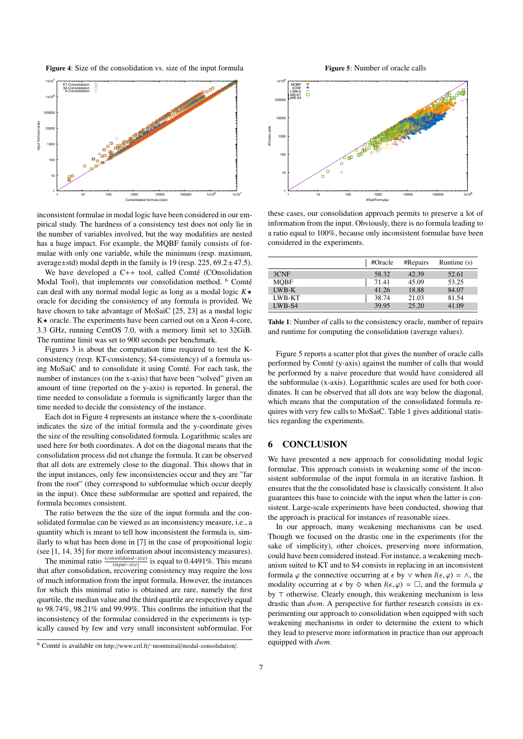Figure 4: Size of the consolidation vs. size of the input formula



inconsistent formulae in modal logic have been considered in our empirical study. The hardness of a consistency test does not only lie in the number of variables involved, but the way modalities are nested has a huge impact. For example, the MQBF family consists of formulae with only one variable, while the minimum (resp. maximum, average $\pm$ std) modal depth in the family is 19 (resp. 225, 69.2 $\pm$ 47.5).

We have developed a  $C++$  tool, called Comté (COnsolidation Modal Tool), that implements our consolidation method. <sup>6</sup> Comté can deal with any normal modal logic as long as a modal logic  $K\star$ oracle for deciding the consistency of any formula is provided. We have chosen to take advantage of MoSaiC [25, 23] as a modal logic  $K\star$  oracle. The experiments have been carried out on a Xeon 4-core, 3.3 GHz, running CentOS 7.0, with a memory limit set to 32GiB. The runtime limit was set to 900 seconds per benchmark.

Figures 3 is about the computation time required to test the Kconsistency (resp. KT-consistency, S4-consistency) of a formula using MoSaiC and to consolidate it using Comté. For each task, the number of instances (on the x-axis) that have been "solved" given an amount of time (reported on the y-axis) is reported. In general, the time needed to consolidate a formula is significantly larger than the time needed to decide the consistency of the instance.

Each dot in Figure 4 represents an instance where the x-coordinate indicates the size of the initial formula and the y-coordinate gives the size of the resulting consolidated formula. Logarithmic scales are used here for both coordinates. A dot on the diagonal means that the consolidation process did not change the formula. It can be observed that all dots are extremely close to the diagonal. This shows that in the input instances, only few inconsistencies occur and they are "far from the root" (they correspond to subformulae which occur deeply in the input). Once these subformulae are spotted and repaired, the formula becomes consistent.

The ratio between the the size of the input formula and the consolidated formulae can be viewed as an inconsistency measure, i.e., a quantity which is meant to tell how inconsistent the formula is, similarly to what has been done in [7] in the case of propositional logic (see [1, 14, 35] for more information about inconsistency measures).

The minimal ratio (*consolidated*−*size*) (*input*−*size*) is equal to 0.4491%. This means that after consolidation, recovering consistency may require the loss of much information from the input formula. However, the instances for which this minimal ratio is obtained are rare, namely the first quartile, the median value and the third quartile are respectively equal to 98.74%, 98.21% and 99.99%. This confirms the intuition that the inconsistency of the formulae considered in the experiments is typically caused by few and very small inconsistent subformulae. For



1 10 100 1000 10000 100000 1x10<sup>6</sup> 1 10 100 1000 10000 100000 1x10<sup>6</sup> MQBF 3CNF LWB-K LWB-KT LWB-S4

these cases, our consolidation approach permits to preserve a lot of information from the input. Obviously, there is no formula leading to a ratio equal to 100%, because only inconsistent formulae have been considered in the experiments.

#SubFormulas

|             | #Oracle | #Repairs | Runtime $(s)$ |
|-------------|---------|----------|---------------|
| 3CNF        | 58.32   | 42.39    | 52.61         |
| <b>MOBF</b> | 71.41   | 45.09    | 53.25         |
| $LWB-K$     | 41.26   | 18.88    | 84.07         |
| LWB-KT      | 38.74   | 21.03    | 81.54         |
| LWB-S4      | 39.95   | 25.20    | 41.09         |

Table 1: Number of calls to the consistency oracle, number of repairs and runtime for computing the consolidation (average values).

Figure 5 reports a scatter plot that gives the number of oracle calls performed by Comté (y-axis) against the number of calls that would be performed by a naive procedure that would have considered all the subformulae (x-axis). Logarithmic scales are used for both coordinates. It can be observed that all dots are way below the diagonal, which means that the computation of the consolidated formula requires with very few calls to MoSaiC. Table 1 gives additional statistics regarding the experiments.

#### 6 CONCLUSION

#Oracle calls

**Macle** call

We have presented a new approach for consolidating modal logic formulae. This approach consists in weakening some of the inconsistent subformulae of the input formula in an iterative fashion. It ensures that the the consolidated base is classically consistent. It also guarantees this base to coincide with the input when the latter is consistent. Large-scale experiments have been conducted, showing that the approach is practical for instances of reasonable sizes.

In our approach, many weakening mechanisms can be used. Though we focused on the drastic one in the experiments (for the sake of simplicity), other choices, preserving more information, could have been considered instead. For instance, a weakening mechanism suited to KT and to S4 consists in replacing in an inconsistent formula  $\varphi$  the connective occurring at  $\epsilon$  by  $\vee$  when  $l(\epsilon, \varphi) = \wedge$ , the modality occurring at  $\epsilon$  by  $\diamond$  when  $l(\epsilon, \varphi) = \Box$ , and the formula  $\varphi$ by  $\top$  otherwise. Clearly enough, this weakening mechanism is less drastic than *dwm*. A perspective for further research consists in experimenting our approach to consolidation when equipped with such weakening mechanisms in order to determine the extent to which they lead to preserve more information in practice than our approach equipped with *dwm*.